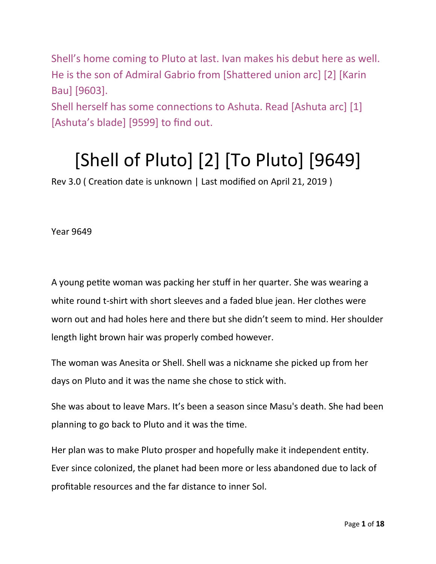Shell's home coming to Pluto at last. Ivan makes his debut here as well. He is the son of Admiral Gabrio from [Shattered union arc] [2] [Karin Bau] [9603]. Shell herself has some connections to Ashuta. Read [Ashuta arc] [1]

[Ashuta's blade] [9599] to find out.

## [Shell of Pluto] [2] [To Pluto] [9649]

Rev 3.0 ( Creation date is unknown | Last modified on April 21, 2019 )

Year 9649

A young petite woman was packing her stuff in her quarter. She was wearing a white round t-shirt with short sleeves and a faded blue jean. Her clothes were worn out and had holes here and there but she didn't seem to mind. Her shoulder length light brown hair was properly combed however.

The woman was Anesita or Shell. Shell was a nickname she picked up from her days on Pluto and it was the name she chose to stick with.

She was about to leave Mars. It's been a season since Masu's death. She had been planning to go back to Pluto and it was the time.

Her plan was to make Pluto prosper and hopefully make it independent entity. Ever since colonized, the planet had been more or less abandoned due to lack of profitable resources and the far distance to inner Sol.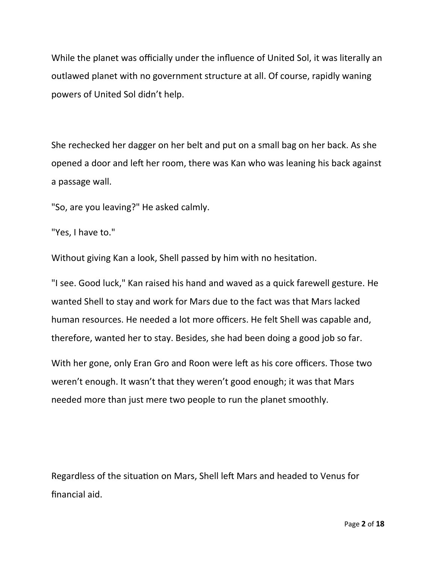While the planet was officially under the influence of United Sol, it was literally an outlawed planet with no government structure at all. Of course, rapidly waning powers of United Sol didn't help.

She rechecked her dagger on her belt and put on a small bag on her back. As she opened a door and left her room, there was Kan who was leaning his back against a passage wall.

"So, are you leaving?" He asked calmly.

"Yes, I have to."

Without giving Kan a look, Shell passed by him with no hesitation.

"I see. Good luck," Kan raised his hand and waved as a quick farewell gesture. He wanted Shell to stay and work for Mars due to the fact was that Mars lacked human resources. He needed a lot more officers. He felt Shell was capable and, therefore, wanted her to stay. Besides, she had been doing a good job so far.

With her gone, only Eran Gro and Roon were left as his core officers. Those two weren't enough. It wasn't that they weren't good enough; it was that Mars needed more than just mere two people to run the planet smoothly.

Regardless of the situation on Mars, Shell left Mars and headed to Venus for financial aid.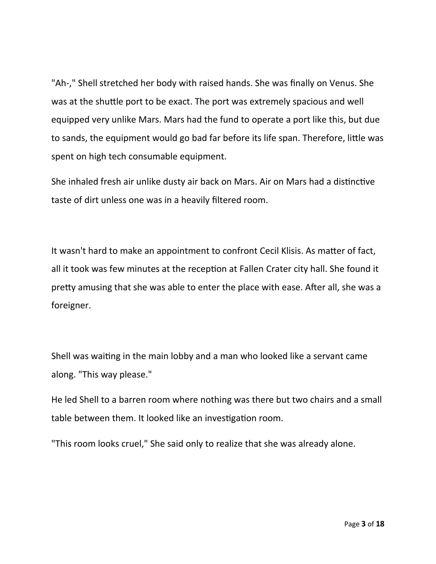"Ah-," Shell stretched her body with raised hands. She was finally on Venus. She was at the shuttle port to be exact. The port was extremely spacious and well equipped very unlike Mars. Mars had the fund to operate a port like this, but due to sands, the equipment would go bad far before its life span. Therefore, little was spent on high tech consumable equipment.

She inhaled fresh air unlike dusty air back on Mars. Air on Mars had a distinctive taste of dirt unless one was in a heavily filtered room.

It wasn't hard to make an appointment to confront Cecil Klisis. As matter of fact, all it took was few minutes at the reception at Fallen Crater city hall. She found it pretty amusing that she was able to enter the place with ease. After all, she was a foreigner.

Shell was waiting in the main lobby and a man who looked like a servant came along. "This way please."

He led Shell to a barren room where nothing was there but two chairs and a small table between them. It looked like an investigation room.

"This room looks cruel," She said only to realize that she was already alone.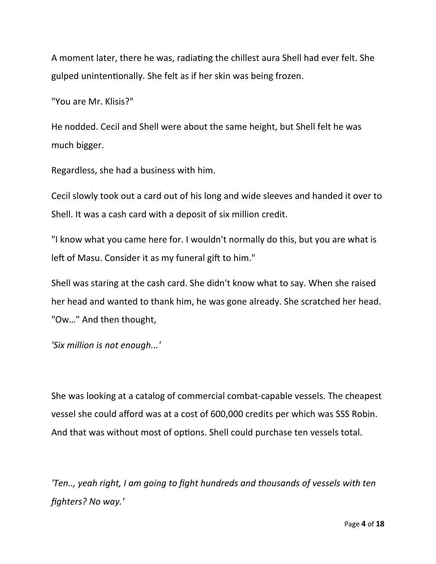A moment later, there he was, radiating the chillest aura Shell had ever felt. She gulped unintentionally. She felt as if her skin was being frozen.

"You are Mr. Klisis?"

He nodded. Cecil and Shell were about the same height, but Shell felt he was much bigger.

Regardless, she had a business with him.

Cecil slowly took out a card out of his long and wide sleeves and handed it over to Shell. It was a cash card with a deposit of six million credit.

"I know what you came here for. I wouldn't normally do this, but you are what is left of Masu. Consider it as my funeral gift to him."

Shell was staring at the cash card. She didn't know what to say. When she raised her head and wanted to thank him, he was gone already. She scratched her head. "Ow…" And then thought,

*'Six million is not enough...'*

She was looking at a catalog of commercial combat-capable vessels. The cheapest vessel she could afford was at a cost of 600,000 credits per which was SSS Robin. And that was without most of options. Shell could purchase ten vessels total.

*'Ten.., yeah right, I am going to fight hundreds and thousands of vessels with ten fighters? No way.'*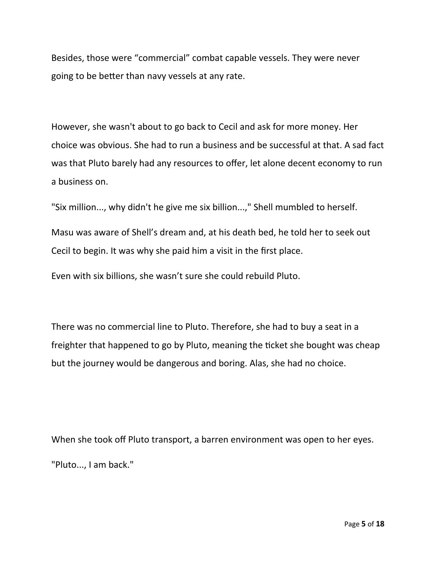Besides, those were "commercial" combat capable vessels. They were never going to be better than navy vessels at any rate.

However, she wasn't about to go back to Cecil and ask for more money. Her choice was obvious. She had to run a business and be successful at that. A sad fact was that Pluto barely had any resources to offer, let alone decent economy to run a business on.

"Six million..., why didn't he give me six billion...," Shell mumbled to herself.

Masu was aware of Shell's dream and, at his death bed, he told her to seek out Cecil to begin. It was why she paid him a visit in the first place.

Even with six billions, she wasn't sure she could rebuild Pluto.

There was no commercial line to Pluto. Therefore, she had to buy a seat in a freighter that happened to go by Pluto, meaning the ticket she bought was cheap but the journey would be dangerous and boring. Alas, she had no choice.

When she took off Pluto transport, a barren environment was open to her eyes. "Pluto..., I am back."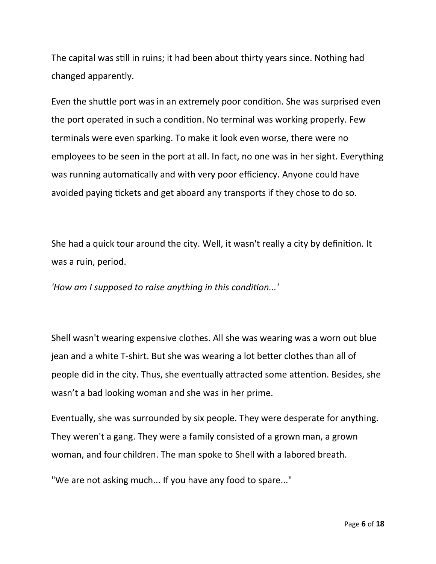The capital was still in ruins; it had been about thirty years since. Nothing had changed apparently.

Even the shuttle port was in an extremely poor condition. She was surprised even the port operated in such a condition. No terminal was working properly. Few terminals were even sparking. To make it look even worse, there were no employees to be seen in the port at all. In fact, no one was in her sight. Everything was running automatically and with very poor efficiency. Anyone could have avoided paying tickets and get aboard any transports if they chose to do so.

She had a quick tour around the city. Well, it wasn't really a city by definition. It was a ruin, period.

*'How am I supposed to raise anything in this condition...'*

Shell wasn't wearing expensive clothes. All she was wearing was a worn out blue jean and a white T-shirt. But she was wearing a lot better clothes than all of people did in the city. Thus, she eventually attracted some attention. Besides, she wasn't a bad looking woman and she was in her prime.

Eventually, she was surrounded by six people. They were desperate for anything. They weren't a gang. They were a family consisted of a grown man, a grown woman, and four children. The man spoke to Shell with a labored breath.

"We are not asking much... If you have any food to spare..."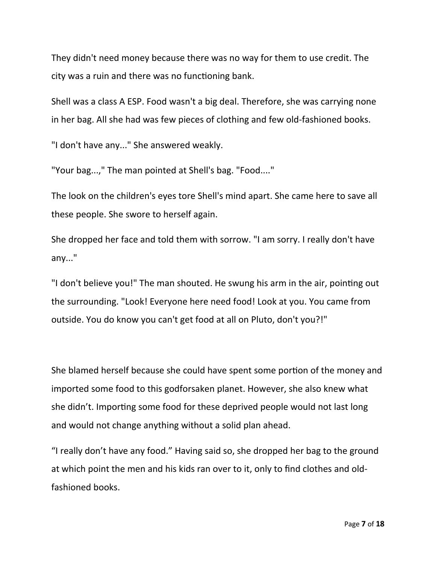They didn't need money because there was no way for them to use credit. The city was a ruin and there was no functioning bank.

Shell was a class A ESP. Food wasn't a big deal. Therefore, she was carrying none in her bag. All she had was few pieces of clothing and few old-fashioned books.

"I don't have any..." She answered weakly.

"Your bag...," The man pointed at Shell's bag. "Food...."

The look on the children's eyes tore Shell's mind apart. She came here to save all these people. She swore to herself again.

She dropped her face and told them with sorrow. "I am sorry. I really don't have any..."

"I don't believe you!" The man shouted. He swung his arm in the air, pointing out the surrounding. "Look! Everyone here need food! Look at you. You came from outside. You do know you can't get food at all on Pluto, don't you?!"

She blamed herself because she could have spent some portion of the money and imported some food to this godforsaken planet. However, she also knew what she didn't. Importing some food for these deprived people would not last long and would not change anything without a solid plan ahead.

"I really don't have any food." Having said so, she dropped her bag to the ground at which point the men and his kids ran over to it, only to find clothes and oldfashioned books.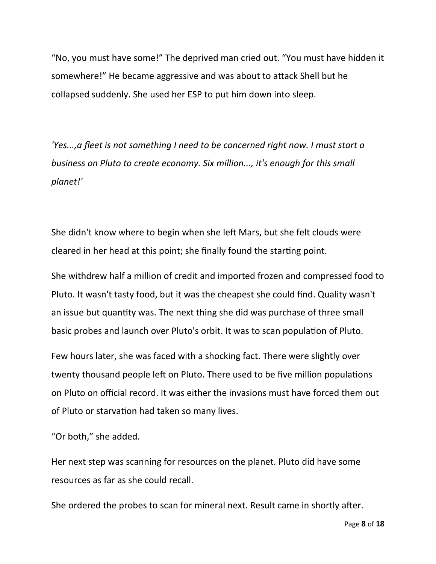"No, you must have some!" The deprived man cried out. "You must have hidden it somewhere!" He became aggressive and was about to attack Shell but he collapsed suddenly. She used her ESP to put him down into sleep.

*'Yes...,a fleet is not something I need to be concerned right now. I must start a business on Pluto to create economy. Six million..., it's enough for this small planet!'*

She didn't know where to begin when she left Mars, but she felt clouds were cleared in her head at this point; she finally found the starting point.

She withdrew half a million of credit and imported frozen and compressed food to Pluto. It wasn't tasty food, but it was the cheapest she could find. Quality wasn't an issue but quantity was. The next thing she did was purchase of three small basic probes and launch over Pluto's orbit. It was to scan population of Pluto.

Few hours later, she was faced with a shocking fact. There were slightly over twenty thousand people left on Pluto. There used to be five million populations on Pluto on official record. It was either the invasions must have forced them out of Pluto or starvation had taken so many lives.

"Or both," she added.

Her next step was scanning for resources on the planet. Pluto did have some resources as far as she could recall.

She ordered the probes to scan for mineral next. Result came in shortly after.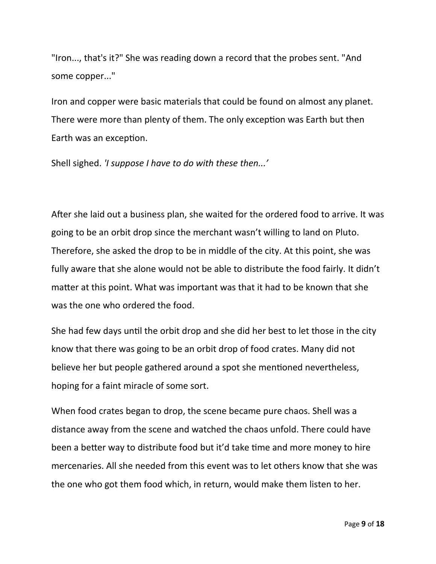"Iron..., that's it?" She was reading down a record that the probes sent. "And some copper..."

Iron and copper were basic materials that could be found on almost any planet. There were more than plenty of them. The only exception was Earth but then Earth was an exception.

Shell sighed. *'I suppose I have to do with these then...'*

After she laid out a business plan, she waited for the ordered food to arrive. It was going to be an orbit drop since the merchant wasn't willing to land on Pluto. Therefore, she asked the drop to be in middle of the city. At this point, she was fully aware that she alone would not be able to distribute the food fairly. It didn't matter at this point. What was important was that it had to be known that she was the one who ordered the food.

She had few days until the orbit drop and she did her best to let those in the city know that there was going to be an orbit drop of food crates. Many did not believe her but people gathered around a spot she mentioned nevertheless, hoping for a faint miracle of some sort.

When food crates began to drop, the scene became pure chaos. Shell was a distance away from the scene and watched the chaos unfold. There could have been a better way to distribute food but it'd take time and more money to hire mercenaries. All she needed from this event was to let others know that she was the one who got them food which, in return, would make them listen to her.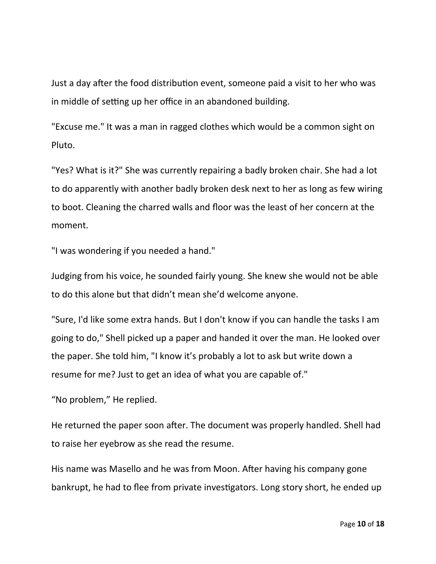Just a day after the food distribution event, someone paid a visit to her who was in middle of setting up her office in an abandoned building.

"Excuse me." It was a man in ragged clothes which would be a common sight on Pluto.

"Yes? What is it?" She was currently repairing a badly broken chair. She had a lot to do apparently with another badly broken desk next to her as long as few wiring to boot. Cleaning the charred walls and floor was the least of her concern at the moment.

"I was wondering if you needed a hand."

Judging from his voice, he sounded fairly young. She knew she would not be able to do this alone but that didn't mean she'd welcome anyone.

"Sure, I'd like some extra hands. But I don't know if you can handle the tasks I am going to do," Shell picked up a paper and handed it over the man. He looked over the paper. She told him, "I know it's probably a lot to ask but write down a resume for me? Just to get an idea of what you are capable of."

"No problem," He replied.

He returned the paper soon after. The document was properly handled. Shell had to raise her eyebrow as she read the resume.

His name was Masello and he was from Moon. After having his company gone bankrupt, he had to flee from private investigators. Long story short, he ended up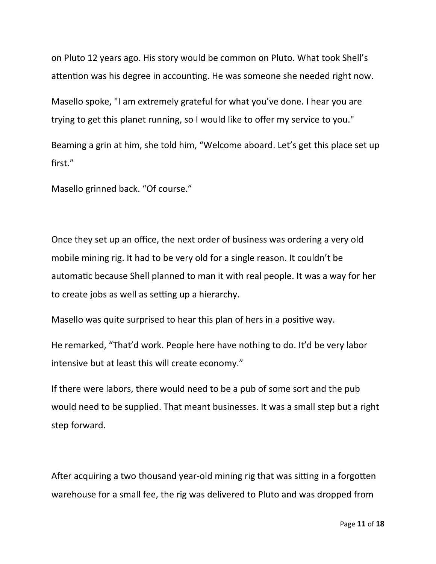on Pluto 12 years ago. His story would be common on Pluto. What took Shell's attention was his degree in accounting. He was someone she needed right now.

Masello spoke, "I am extremely grateful for what you've done. I hear you are trying to get this planet running, so I would like to offer my service to you."

Beaming a grin at him, she told him, "Welcome aboard. Let's get this place set up first."

Masello grinned back. "Of course."

Once they set up an office, the next order of business was ordering a very old mobile mining rig. It had to be very old for a single reason. It couldn't be automatic because Shell planned to man it with real people. It was a way for her to create jobs as well as setting up a hierarchy.

Masello was quite surprised to hear this plan of hers in a positive way.

He remarked, "That'd work. People here have nothing to do. It'd be very labor intensive but at least this will create economy."

If there were labors, there would need to be a pub of some sort and the pub would need to be supplied. That meant businesses. It was a small step but a right step forward.

After acquiring a two thousand year-old mining rig that was sitting in a forgotten warehouse for a small fee, the rig was delivered to Pluto and was dropped from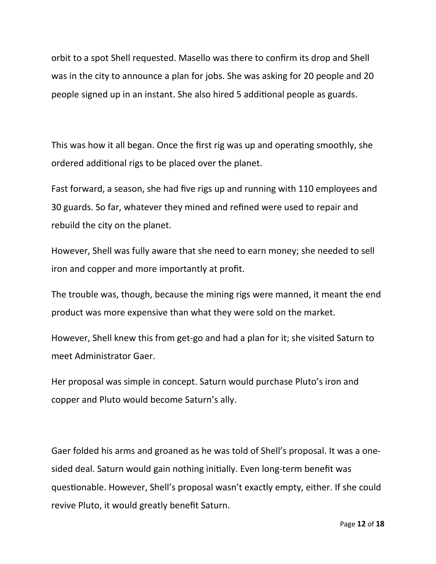orbit to a spot Shell requested. Masello was there to confirm its drop and Shell was in the city to announce a plan for jobs. She was asking for 20 people and 20 people signed up in an instant. She also hired 5 additional people as guards.

This was how it all began. Once the first rig was up and operating smoothly, she ordered additional rigs to be placed over the planet.

Fast forward, a season, she had five rigs up and running with 110 employees and 30 guards. So far, whatever they mined and refined were used to repair and rebuild the city on the planet.

However, Shell was fully aware that she need to earn money; she needed to sell iron and copper and more importantly at profit.

The trouble was, though, because the mining rigs were manned, it meant the end product was more expensive than what they were sold on the market.

However, Shell knew this from get-go and had a plan for it; she visited Saturn to meet Administrator Gaer.

Her proposal was simple in concept. Saturn would purchase Pluto's iron and copper and Pluto would become Saturn's ally.

Gaer folded his arms and groaned as he was told of Shell's proposal. It was a onesided deal. Saturn would gain nothing initially. Even long-term benefit was questionable. However, Shell's proposal wasn't exactly empty, either. If she could revive Pluto, it would greatly benefit Saturn.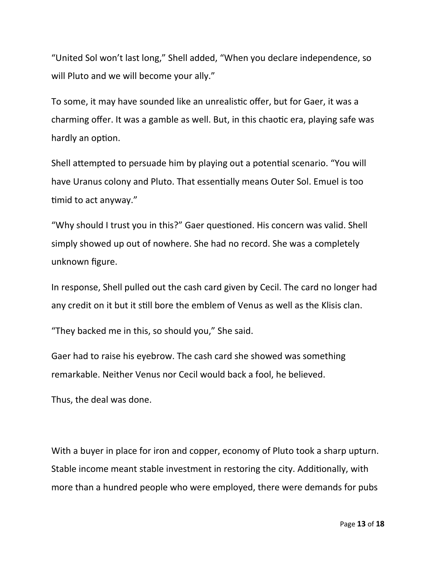"United Sol won't last long," Shell added, "When you declare independence, so will Pluto and we will become your ally."

To some, it may have sounded like an unrealistic offer, but for Gaer, it was a charming offer. It was a gamble as well. But, in this chaotic era, playing safe was hardly an option.

Shell attempted to persuade him by playing out a potential scenario. "You will have Uranus colony and Pluto. That essentially means Outer Sol. Emuel is too timid to act anyway."

"Why should I trust you in this?" Gaer questioned. His concern was valid. Shell simply showed up out of nowhere. She had no record. She was a completely unknown figure.

In response, Shell pulled out the cash card given by Cecil. The card no longer had any credit on it but it still bore the emblem of Venus as well as the Klisis clan.

"They backed me in this, so should you," She said.

Gaer had to raise his eyebrow. The cash card she showed was something remarkable. Neither Venus nor Cecil would back a fool, he believed.

Thus, the deal was done.

With a buyer in place for iron and copper, economy of Pluto took a sharp upturn. Stable income meant stable investment in restoring the city. Additionally, with more than a hundred people who were employed, there were demands for pubs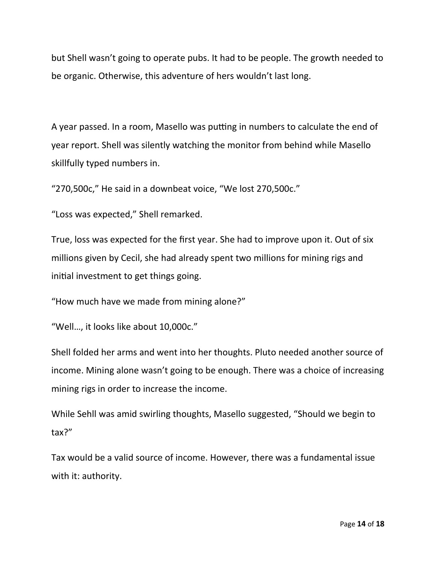but Shell wasn't going to operate pubs. It had to be people. The growth needed to be organic. Otherwise, this adventure of hers wouldn't last long.

A year passed. In a room, Masello was putting in numbers to calculate the end of year report. Shell was silently watching the monitor from behind while Masello skillfully typed numbers in.

"270,500c," He said in a downbeat voice, "We lost 270,500c."

"Loss was expected," Shell remarked.

True, loss was expected for the first year. She had to improve upon it. Out of six millions given by Cecil, she had already spent two millions for mining rigs and initial investment to get things going.

"How much have we made from mining alone?"

"Well…, it looks like about 10,000c."

Shell folded her arms and went into her thoughts. Pluto needed another source of income. Mining alone wasn't going to be enough. There was a choice of increasing mining rigs in order to increase the income.

While Sehll was amid swirling thoughts, Masello suggested, "Should we begin to tax?"

Tax would be a valid source of income. However, there was a fundamental issue with it: authority.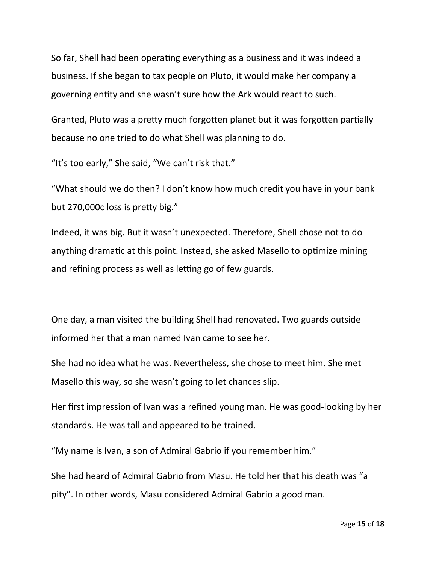So far, Shell had been operating everything as a business and it was indeed a business. If she began to tax people on Pluto, it would make her company a governing entity and she wasn't sure how the Ark would react to such.

Granted, Pluto was a pretty much forgotten planet but it was forgotten partially because no one tried to do what Shell was planning to do.

"It's too early," She said, "We can't risk that."

"What should we do then? I don't know how much credit you have in your bank but 270,000c loss is pretty big."

Indeed, it was big. But it wasn't unexpected. Therefore, Shell chose not to do anything dramatic at this point. Instead, she asked Masello to optimize mining and refining process as well as letting go of few guards.

One day, a man visited the building Shell had renovated. Two guards outside informed her that a man named Ivan came to see her.

She had no idea what he was. Nevertheless, she chose to meet him. She met Masello this way, so she wasn't going to let chances slip.

Her first impression of Ivan was a refined young man. He was good-looking by her standards. He was tall and appeared to be trained.

"My name is Ivan, a son of Admiral Gabrio if you remember him."

She had heard of Admiral Gabrio from Masu. He told her that his death was "a pity". In other words, Masu considered Admiral Gabrio a good man.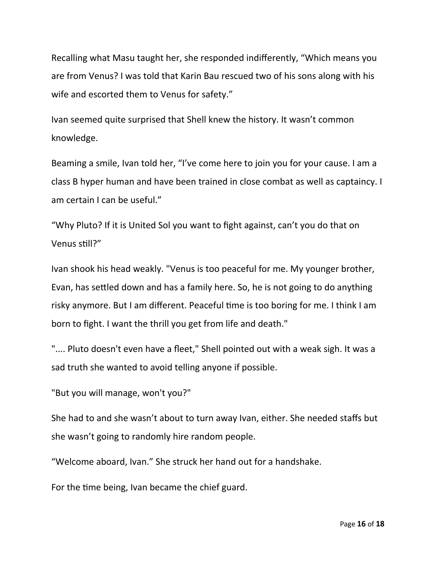Recalling what Masu taught her, she responded indifferently, "Which means you are from Venus? I was told that Karin Bau rescued two of his sons along with his wife and escorted them to Venus for safety."

Ivan seemed quite surprised that Shell knew the history. It wasn't common knowledge.

Beaming a smile, Ivan told her, "I've come here to join you for your cause. I am a class B hyper human and have been trained in close combat as well as captaincy. I am certain I can be useful."

"Why Pluto? If it is United Sol you want to fight against, can't you do that on Venus still?"

Ivan shook his head weakly. "Venus is too peaceful for me. My younger brother, Evan, has settled down and has a family here. So, he is not going to do anything risky anymore. But I am different. Peaceful time is too boring for me. I think I am born to fight. I want the thrill you get from life and death."

".... Pluto doesn't even have a fleet," Shell pointed out with a weak sigh. It was a sad truth she wanted to avoid telling anyone if possible.

"But you will manage, won't you?"

She had to and she wasn't about to turn away Ivan, either. She needed staffs but she wasn't going to randomly hire random people.

"Welcome aboard, Ivan." She struck her hand out for a handshake.

For the time being, Ivan became the chief guard.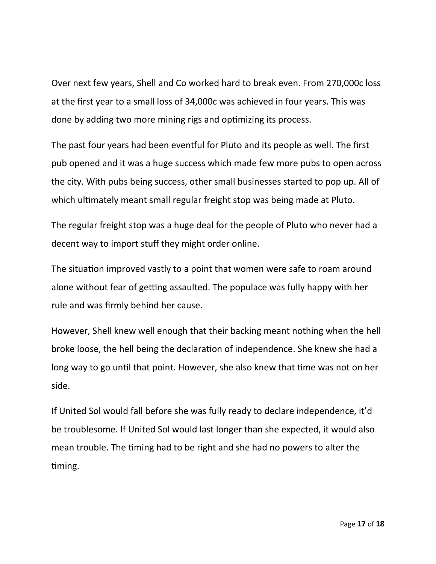Over next few years, Shell and Co worked hard to break even. From 270,000c loss at the first year to a small loss of 34,000c was achieved in four years. This was done by adding two more mining rigs and optimizing its process.

The past four years had been eventful for Pluto and its people as well. The first pub opened and it was a huge success which made few more pubs to open across the city. With pubs being success, other small businesses started to pop up. All of which ultimately meant small regular freight stop was being made at Pluto.

The regular freight stop was a huge deal for the people of Pluto who never had a decent way to import stuff they might order online.

The situation improved vastly to a point that women were safe to roam around alone without fear of getting assaulted. The populace was fully happy with her rule and was firmly behind her cause.

However, Shell knew well enough that their backing meant nothing when the hell broke loose, the hell being the declaration of independence. She knew she had a long way to go until that point. However, she also knew that time was not on her side.

If United Sol would fall before she was fully ready to declare independence, it'd be troublesome. If United Sol would last longer than she expected, it would also mean trouble. The timing had to be right and she had no powers to alter the timing.